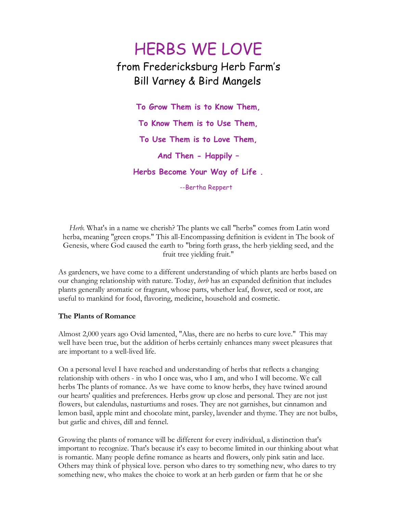## HERBS WE LOVE from Fredericksburg Herb Farm's Bill Varney & Bird Mangels

**To Grow Them is to Know Them, To Know Them is to Use Them, To Use Them is to Love Them, And Then - Happily – Herbs Become Your Way of Life .** --Bertha Reppert

*Herb.* What's in a name we cherish? The plants we call "herbs" comes from Latin word herba, meaning "green crops." This all-Encompassing definition is evident in The book of Genesis, where God caused the earth to "bring forth grass, the herb yielding seed, and the fruit tree yielding fruit."

As gardeners, we have come to a different understanding of which plants are herbs based on our changing relationship with nature. Today, *herb* has an expanded definition that includes plants generally aromatic or fragrant, whose parts, whether leaf, flower, seed or root, are useful to mankind for food, flavoring, medicine, household and cosmetic.

## **The Plants of Romance**

Almost 2,000 years ago Ovid lamented, "Alas, there are no herbs to cure love." This may well have been true, but the addition of herbs certainly enhances many sweet pleasures that are important to a well-lived life.

On a personal level I have reached and understanding of herbs that reflects a changing relationship with others - in who I once was, who I am, and who I will become. We call herbs The plants of romance. As we have come to know herbs, they have twined around our hearts' qualities and preferences. Herbs grow up close and personal. They are not just flowers, but calendulas, nasturtiums and roses. They are not garnishes, but cinnamon and lemon basil, apple mint and chocolate mint, parsley, lavender and thyme. They are not bulbs, but garlic and chives, dill and fennel.

Growing the plants of romance will be different for every individual, a distinction that's important to recognize. That's because it's easy to become limited in our thinking about what is romantic. Many people define romance as hearts and flowers, only pink satin and lace. Others may think of physical love. person who dares to try something new, who dares to try something new, who makes the choice to work at an herb garden or farm that he or she